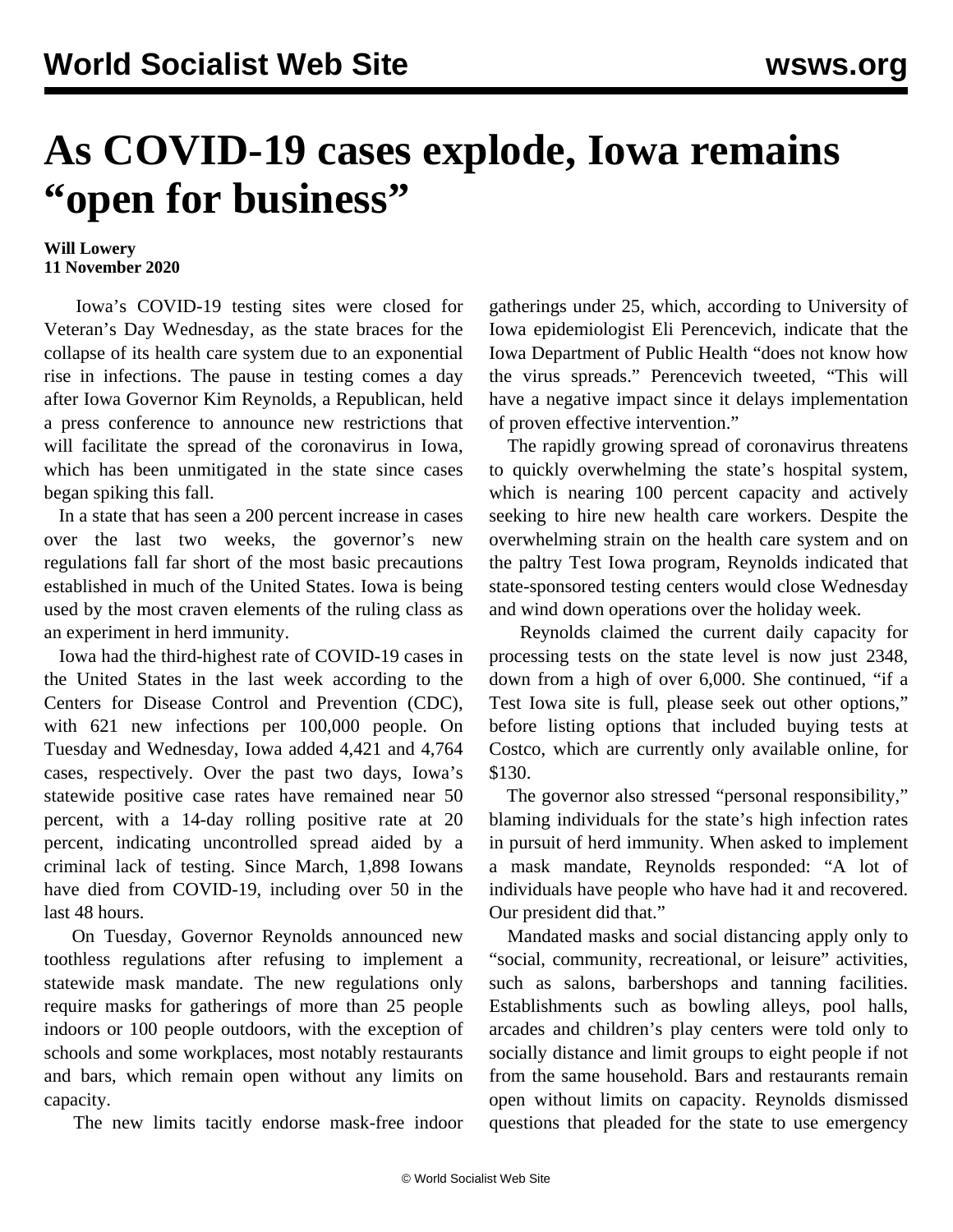## **As COVID-19 cases explode, Iowa remains "open for business"**

## **Will Lowery 11 November 2020**

 Iowa's COVID-19 testing sites were closed for Veteran's Day Wednesday, as the state braces for the collapse of its health care system due to an exponential rise in infections. The pause in testing comes a day after Iowa Governor Kim Reynolds, a Republican, held a press conference to announce new restrictions that will facilitate the spread of the coronavirus in Iowa, which has been unmitigated in the state since cases began spiking this fall.

 In a state that has seen a 200 percent increase in cases over the last two weeks, the governor's new regulations fall far short of the most basic precautions established in much of the United States. Iowa is being used by the most craven elements of the ruling class as an experiment in herd immunity.

 Iowa had the third-highest rate of COVID-19 cases in the United States in the last week according to the Centers for Disease Control and Prevention (CDC), with 621 new infections per 100,000 people. On Tuesday and Wednesday, Iowa added 4,421 and 4,764 cases, respectively. Over the past two days, Iowa's statewide positive case rates have remained near 50 percent, with a 14-day rolling positive rate at 20 percent, indicating uncontrolled spread aided by a criminal lack of testing. Since March, 1,898 Iowans have died from COVID-19, including over 50 in the last 48 hours.

 On Tuesday, Governor Reynolds announced new toothless regulations after refusing to implement a statewide mask mandate. The new regulations only require masks for gatherings of more than 25 people indoors or 100 people outdoors, with the exception of schools and some workplaces, most notably restaurants and bars, which remain open without any limits on capacity.

The new limits tacitly endorse mask-free indoor

gatherings under 25, which, according to University of Iowa epidemiologist Eli Perencevich, indicate that the Iowa Department of Public Health "does not know how the virus spreads." Perencevich tweeted, "This will have a negative impact since it delays implementation of proven effective intervention."

 The rapidly growing spread of coronavirus threatens to quickly overwhelming the state's hospital system, which is nearing 100 percent capacity and actively seeking to hire new health care workers. Despite the overwhelming strain on the health care system and on the paltry Test Iowa program, Reynolds indicated that state-sponsored testing centers would close Wednesday and wind down operations over the holiday week.

 Reynolds claimed the current daily capacity for processing tests on the state level is now just 2348, down from a high of over 6,000. She continued, "if a Test Iowa site is full, please seek out other options," before listing options that included buying tests at Costco, which are currently only available online, for \$130.

 The governor also stressed "personal responsibility," blaming individuals for the state's high infection rates in pursuit of herd immunity. When asked to implement a mask mandate, Reynolds responded: "A lot of individuals have people who have had it and recovered. Our president did that."

 Mandated masks and social distancing apply only to "social, community, recreational, or leisure" activities, such as salons, barbershops and tanning facilities. Establishments such as bowling alleys, pool halls, arcades and children's play centers were told only to socially distance and limit groups to eight people if not from the same household. Bars and restaurants remain open without limits on capacity. Reynolds dismissed questions that pleaded for the state to use emergency